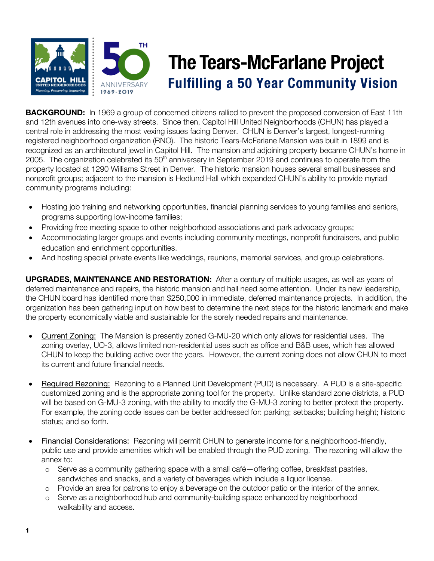

# **The Tears-McFarlane Project**<br>Fulfilling a 50 Year Community Vision

**BACKGROUND:** In 1969 a group of concerned citizens rallied to prevent the proposed conversion of East 11th and 12th avenues into one-way streets. Since then, Capitol Hill United Neighborhoods (CHUN) has played a central role in addressing the most vexing issues facing Denver. CHUN is Denver's largest, longest-running registered neighborhood organization (RNO). The historic Tears-McFarlane Mansion was built in 1899 and is recognized as an architectural jewel in Capitol Hill. The mansion and adjoining property became CHUN's home in 2005. The organization celebrated its 50<sup>th</sup> anniversary in September 2019 and continues to operate from the property located at 1290 Williams Street in Denver. The historic mansion houses several small businesses and nonprofit groups; adjacent to the mansion is Hedlund Hall which expanded CHUN's ability to provide myriad community programs including:

- Hosting job training and networking opportunities, financial planning services to young families and seniors, programs supporting low-income families;
- Providing free meeting space to other neighborhood associations and park advocacy groups;
- Accommodating larger groups and events including community meetings, nonprofit fundraisers, and public education and enrichment opportunities.
- And hosting special private events like weddings, reunions, memorial services, and group celebrations.

**UPGRADES, MAINTENANCE AND RESTORATION:** After a century of multiple usages, as well as years of deferred maintenance and repairs, the historic mansion and hall need some attention. Under its new leadership, the CHUN board has identified more than \$250,000 in immediate, deferred maintenance projects. In addition, the organization has been gathering input on how best to determine the next steps for the historic landmark and make the property economically viable and sustainable for the sorely needed repairs and maintenance.

- Current Zoning: The Mansion is presently zoned G-MU-20 which only allows for residential uses. The zoning overlay, UO-3, allows limited non-residential uses such as office and B&B uses, which has allowed CHUN to keep the building active over the years. However, the current zoning does not allow CHUN to meet its current and future financial needs.
- Required Rezoning: Rezoning to a Planned Unit Development (PUD) is necessary. A PUD is a site-specific customized zoning and is the appropriate zoning tool for the property. Unlike standard zone districts, a PUD will be based on G-MU-3 zoning, with the ability to modify the G-MU-3 zoning to better protect the property. For example, the zoning code issues can be better addressed for: parking; setbacks; building height; historic status; and so forth.
- Financial Considerations: Rezoning will permit CHUN to generate income for a neighborhood-friendly, public use and provide amenities which will be enabled through the PUD zoning. The rezoning will allow the annex to:
	- o Serve as a community gathering space with a small café—offering coffee, breakfast pastries, sandwiches and snacks, and a variety of beverages which include a liquor license.
	- o Provide an area for patrons to enjoy a beverage on the outdoor patio or the interior of the annex.
	- o Serve as a neighborhood hub and community-building space enhanced by neighborhood walkability and access.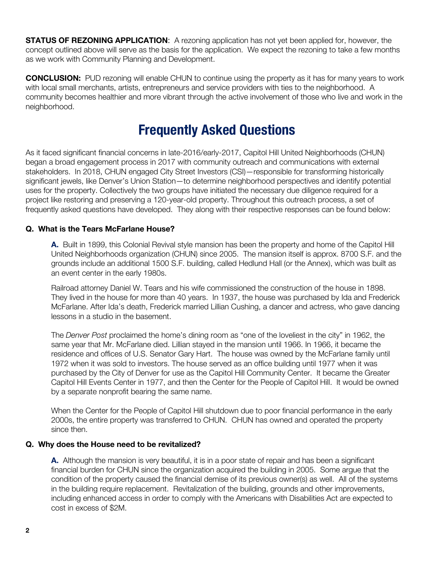**STATUS OF REZONING APPLICATION:** A rezoning application has not yet been applied for, however, the concept outlined above will serve as the basis for the application. We expect the rezoning to take a few months as we work with Community Planning and Development.

**CONCLUSION:** PUD rezoning will enable CHUN to continue using the property as it has for many years to work with local small merchants, artists, entrepreneurs and service providers with ties to the neighborhood. A community becomes healthier and more vibrant through the active involvement of those who live and work in the neighborhood.

## **Frequently Asked Questions**

As it faced significant financial concerns in late-2016/early-2017, Capitol Hill United Neighborhoods (CHUN) began a broad engagement process in 2017 with community outreach and communications with external stakeholders. In 2018, CHUN engaged City Street Investors (CSI)—responsible for transforming historically significant jewels, like Denver's Union Station—to determine neighborhood perspectives and identify potential uses for the property. Collectively the two groups have initiated the necessary due diligence required for a project like restoring and preserving a 120-year-old property. Throughout this outreach process, a set of frequently asked questions have developed. They along with their respective responses can be found below:

### **Q. What is the Tears McFarlane House?**

**A.** Built in 1899, this Colonial Revival style mansion has been the property and home of the Capitol Hill United Neighborhoods organization (CHUN) since 2005. The mansion itself is approx. 8700 S.F. and the grounds include an additional 1500 S.F. building, called Hedlund Hall (or the Annex), which was built as an event center in the early 1980s.

Railroad attorney Daniel W. Tears and his wife commissioned the construction of the house in 1898. They lived in the house for more than 40 years. In 1937, the house was purchased by Ida and Frederick McFarlane. After Ida's death, Frederick married Lillian Cushing, a dancer and actress, who gave dancing lessons in a studio in the basement.

The *Denver Post* proclaimed the home's dining room as "one of the loveliest in the city" in 1962, the same year that Mr. McFarlane died. Lillian stayed in the mansion until 1966. In 1966, it became the residence and offices of U.S. Senator Gary Hart. The house was owned by the McFarlane family until 1972 when it was sold to investors. The house served as an office building until 1977 when it was purchased by the City of Denver for use as the Capitol Hill Community Center. It became the Greater Capitol Hill Events Center in 1977, and then the Center for the People of Capitol Hill. It would be owned by a separate nonprofit bearing the same name.

When the Center for the People of Capitol Hill shutdown due to poor financial performance in the early 2000s, the entire property was transferred to CHUN. CHUN has owned and operated the property since then.

#### **Q. Why does the House need to be revitalized?**

**A.** Although the mansion is very beautiful, it is in a poor state of repair and has been a significant financial burden for CHUN since the organization acquired the building in 2005. Some argue that the condition of the property caused the financial demise of its previous owner(s) as well. All of the systems in the building require replacement. Revitalization of the building, grounds and other improvements, including enhanced access in order to comply with the Americans with Disabilities Act are expected to cost in excess of \$2M.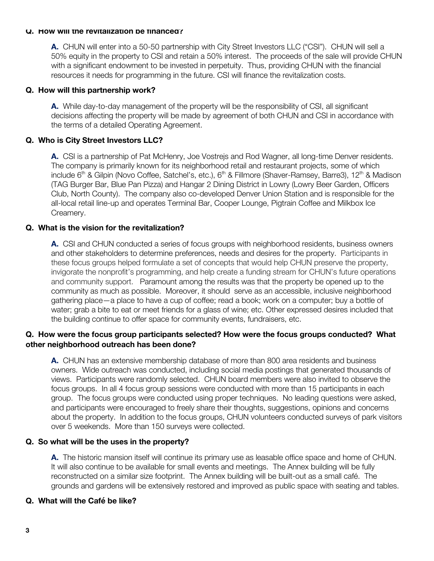#### **Q. How will the revitalization be financed?**

**A.** CHUN will enter into a 50-50 partnership with City Street Investors LLC ("CSI"). CHUN will sell a 50% equity in the property to CSI and retain a 50% interest. The proceeds of the sale will provide CHUN with a significant endowment to be invested in perpetuity. Thus, providing CHUN with the financial resources it needs for programming in the future. CSI will finance the revitalization costs.

#### **Q. How will this partnership work?**

**A.** While day-to-day management of the property will be the responsibility of CSI, all significant decisions affecting the property will be made by agreement of both CHUN and CSI in accordance with the terms of a detailed Operating Agreement.

#### **Q. Who is City Street Investors LLC?**

**A.** CSI is a partnership of Pat McHenry, Joe Vostrejs and Rod Wagner, all long-time Denver residents. The company is primarily known for its neighborhood retail and restaurant projects, some of which include 6<sup>th</sup> & Gilpin (Novo Coffee, Satchel's, etc.), 6<sup>th</sup> & Fillmore (Shaver-Ramsey, Barre3), 12<sup>th</sup> & Madison (TAG Burger Bar, Blue Pan Pizza) and Hangar 2 Dining District in Lowry (Lowry Beer Garden, Officers Club, North County). The company also co-developed Denver Union Station and is responsible for the all-local retail line-up and operates Terminal Bar, Cooper Lounge, Pigtrain Coffee and Milkbox Ice Creamery.

#### **Q. What is the vision for the revitalization?**

**A.** CSI and CHUN conducted a series of focus groups with neighborhood residents, business owners and other stakeholders to determine preferences, needs and desires for the property. Participants in these focus groups helped formulate a set of concepts that would help CHUN preserve the property, invigorate the nonprofit's programming, and help create a funding stream for CHUN's future operations and community support. Paramount among the results was that the property be opened up to the community as much as possible. Moreover, it should serve as an accessible, inclusive neighborhood gathering place—a place to have a cup of coffee; read a book; work on a computer; buy a bottle of water; grab a bite to eat or meet friends for a glass of wine; etc. Other expressed desires included that the building continue to offer space for community events, fundraisers, etc.

#### **Q. How were the focus group participants selected? How were the focus groups conducted? What other neighborhood outreach has been done?**

**A.** CHUN has an extensive membership database of more than 800 area residents and business owners. Wide outreach was conducted, including social media postings that generated thousands of views. Participants were randomly selected. CHUN board members were also invited to observe the focus groups. In all 4 focus group sessions were conducted with more than 15 participants in each group. The focus groups were conducted using proper techniques. No leading questions were asked, and participants were encouraged to freely share their thoughts, suggestions, opinions and concerns about the property. In addition to the focus groups, CHUN volunteers conducted surveys of park visitors over 5 weekends. More than 150 surveys were collected.

#### **Q. So what will be the uses in the property?**

**A.** The historic mansion itself will continue its primary use as leasable office space and home of CHUN. It will also continue to be available for small events and meetings. The Annex building will be fully reconstructed on a similar size footprint. The Annex building will be built-out as a small café. The grounds and gardens will be extensively restored and improved as public space with seating and tables.

#### **Q. What will the Café be like?**